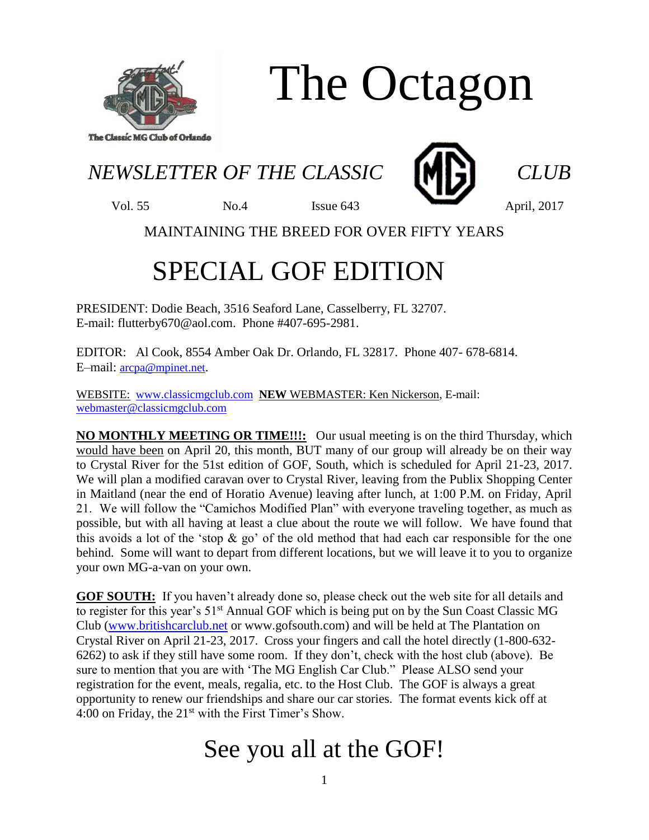

## The Octagon

*NEWSLETTER OF THE CLASSIC* **MINI** *CLUB* 



Vol. 55 No.4 Issue 643 April, 2017

MAINTAINING THE BREED FOR OVER FIFTY YEARS

## SPECIAL GOF EDITION

PRESIDENT: Dodie Beach, 3516 Seaford Lane, Casselberry, FL 32707. E-mail: flutterby670@aol.com. Phone #407-695-2981.

EDITOR: Al Cook, 8554 Amber Oak Dr. Orlando, FL 32817. Phone 407- 678-6814. E–mail: [arcpa@mpinet.net](mailto:arcpa@mpinet.net).

WEBSITE: [www.classicmgclub.com](http://www.classicmgclub.com/) **NEW** WEBMASTER: Ken Nickerson, E-mail: [webmaster@classicmgclub.com](mailto:webmaster@classicmgclub.com)

**NO MONTHLY MEETING OR TIME!!!:** Our usual meeting is on the third Thursday, which would have been on April 20, this month, BUT many of our group will already be on their way to Crystal River for the 51st edition of GOF, South, which is scheduled for April 21-23, 2017. We will plan a modified caravan over to Crystal River, leaving from the Publix Shopping Center in Maitland (near the end of Horatio Avenue) leaving after lunch, at 1:00 P.M. on Friday, April 21. We will follow the "Camichos Modified Plan" with everyone traveling together, as much as possible, but with all having at least a clue about the route we will follow. We have found that this avoids a lot of the 'stop  $\&$  go' of the old method that had each car responsible for the one behind. Some will want to depart from different locations, but we will leave it to you to organize your own MG-a-van on your own.

**GOF SOUTH:** If you haven't already done so, please check out the web site for all details and to register for this year's 51<sup>st</sup> Annual GOF which is being put on by the Sun Coast Classic MG Club [\(www.britishcarclub.net](http://www.britishcarclub.net/) or www.gofsouth.com) and will be held at The Plantation on Crystal River on April 21-23, 2017. Cross your fingers and call the hotel directly (1-800-632- 6262) to ask if they still have some room. If they don't, check with the host club (above). Be sure to mention that you are with 'The MG English Car Club." Please ALSO send your registration for the event, meals, regalia, etc. to the Host Club. The GOF is always a great opportunity to renew our friendships and share our car stories. The format events kick off at 4:00 on Friday, the  $21<sup>st</sup>$  with the First Timer's Show.

## See you all at the GOF!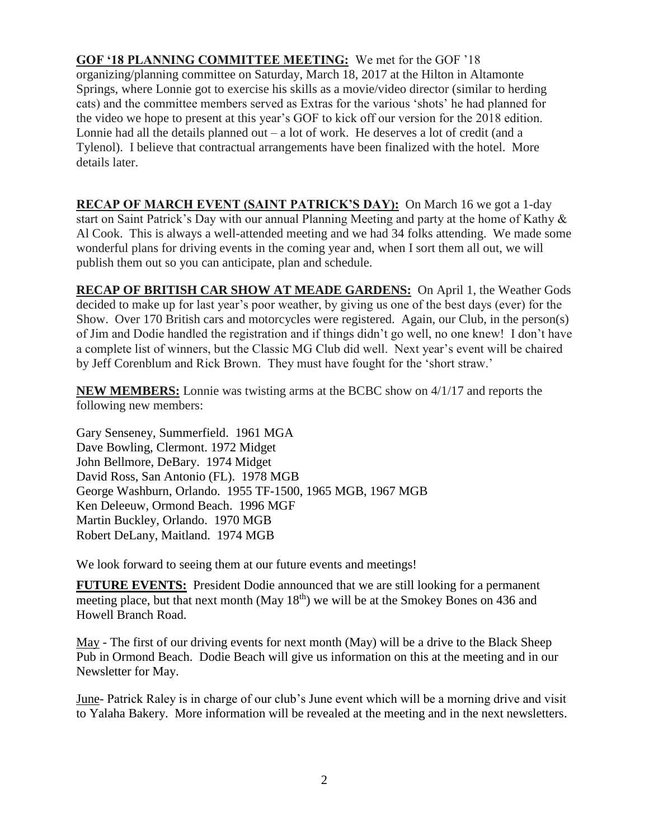**GOF '18 PLANNING COMMITTEE MEETING:** We met for the GOF '18 organizing/planning committee on Saturday, March 18, 2017 at the Hilton in Altamonte Springs, where Lonnie got to exercise his skills as a movie/video director (similar to herding cats) and the committee members served as Extras for the various 'shots' he had planned for the video we hope to present at this year's GOF to kick off our version for the 2018 edition. Lonnie had all the details planned out – a lot of work. He deserves a lot of credit (and a Tylenol). I believe that contractual arrangements have been finalized with the hotel. More details later.

**RECAP OF MARCH EVENT (SAINT PATRICK'S DAY):** On March 16 we got a 1-day start on Saint Patrick's Day with our annual Planning Meeting and party at the home of Kathy & Al Cook. This is always a well-attended meeting and we had 34 folks attending. We made some wonderful plans for driving events in the coming year and, when I sort them all out, we will publish them out so you can anticipate, plan and schedule.

**RECAP OF BRITISH CAR SHOW AT MEADE GARDENS:** On April 1, the Weather Gods decided to make up for last year's poor weather, by giving us one of the best days (ever) for the Show. Over 170 British cars and motorcycles were registered. Again, our Club, in the person(s) of Jim and Dodie handled the registration and if things didn't go well, no one knew! I don't have a complete list of winners, but the Classic MG Club did well. Next year's event will be chaired by Jeff Corenblum and Rick Brown. They must have fought for the 'short straw.'

**NEW MEMBERS:** Lonnie was twisting arms at the BCBC show on 4/1/17 and reports the following new members:

Gary Senseney, Summerfield. 1961 MGA Dave Bowling, Clermont. 1972 Midget John Bellmore, DeBary. 1974 Midget David Ross, San Antonio (FL). 1978 MGB George Washburn, Orlando. 1955 TF-1500, 1965 MGB, 1967 MGB Ken Deleeuw, Ormond Beach. 1996 MGF Martin Buckley, Orlando. 1970 MGB Robert DeLany, Maitland. 1974 MGB

We look forward to seeing them at our future events and meetings!

**FUTURE EVENTS:** President Dodie announced that we are still looking for a permanent meeting place, but that next month (May  $18<sup>th</sup>$ ) we will be at the Smokey Bones on 436 and Howell Branch Road.

May - The first of our driving events for next month (May) will be a drive to the Black Sheep Pub in Ormond Beach. Dodie Beach will give us information on this at the meeting and in our Newsletter for May.

June- Patrick Raley is in charge of our club's June event which will be a morning drive and visit to Yalaha Bakery. More information will be revealed at the meeting and in the next newsletters.